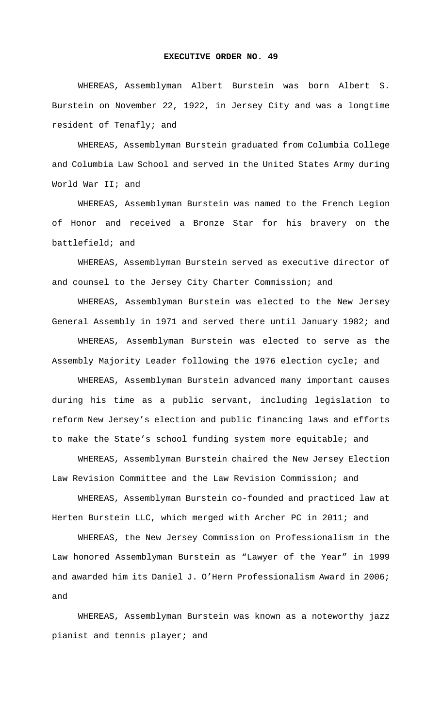## **EXECUTIVE ORDER NO. 49**

WHEREAS, Assemblyman Albert Burstein was born Albert S. Burstein on November 22, 1922, in Jersey City and was a longtime resident of Tenafly; and

WHEREAS, Assemblyman Burstein graduated from Columbia College and Columbia Law School and served in the United States Army during World War II; and

WHEREAS, Assemblyman Burstein was named to the French Legion of Honor and received a Bronze Star for his bravery on the battlefield; and

WHEREAS, Assemblyman Burstein served as executive director of and counsel to the Jersey City Charter Commission; and

WHEREAS, Assemblyman Burstein was elected to the New Jersey General Assembly in 1971 and served there until January 1982; and WHEREAS, Assemblyman Burstein was elected to serve as the

Assembly Majority Leader following the 1976 election cycle; and

WHEREAS, Assemblyman Burstein advanced many important causes during his time as a public servant, including legislation to reform New Jersey's election and public financing laws and efforts to make the State's school funding system more equitable; and

WHEREAS, Assemblyman Burstein chaired the New Jersey Election Law Revision Committee and the Law Revision Commission; and

WHEREAS, Assemblyman Burstein co-founded and practiced law at Herten Burstein LLC, which merged with Archer PC in 2011; and

WHEREAS, the New Jersey Commission on Professionalism in the Law honored Assemblyman Burstein as "Lawyer of the Year" in 1999 and awarded him its Daniel J. O'Hern Professionalism Award in 2006; and

WHEREAS, Assemblyman Burstein was known as a noteworthy jazz pianist and tennis player; and